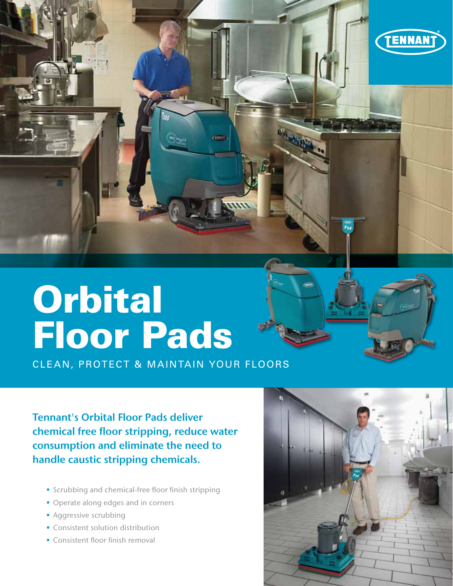

# **Orbital** Floor Pads

CLEAN, PROTECT & MAINTAIN YOUR FLOORS

cimi

Tennant's Orbital Floor Pads deliver chemical free floor stripping, reduce water consumption and eliminate the need to handle caustic stripping chemicals.

- **Scrubbing and chemical-free floor finish stripping**
- Operate along edges and in corners
- **Aggressive scrubbing**
- **Consistent solution distribution**
- **Consistent floor finish removal**